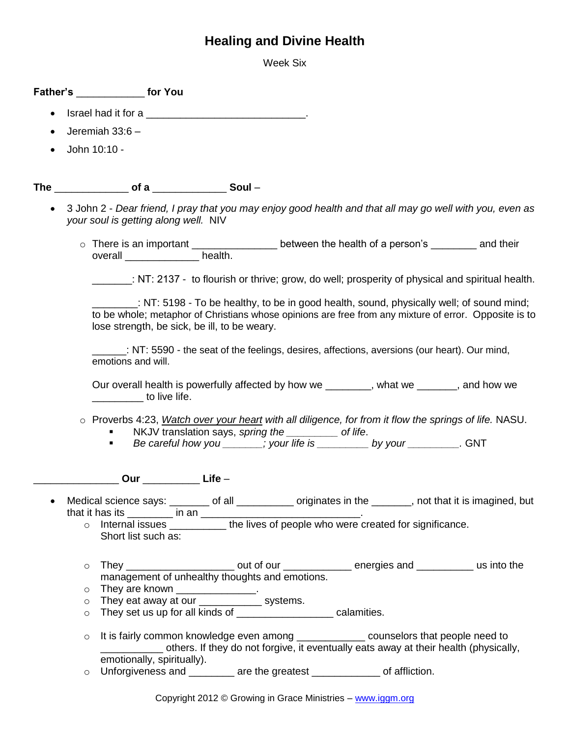## **Healing and Divine Health**

Week Six

**Father's** \_\_\_\_\_\_\_\_\_\_\_\_ **for You** Israel had it for a \_\_\_\_\_\_\_\_\_\_\_\_\_\_\_\_\_\_\_\_\_\_\_\_\_\_\_\_. Jeremiah 33:6 –  $\bullet$  John 10:10 -The of a Soul – 3 John 2 - *Dear friend, I pray that you may enjoy good health and that all may go well with you, even as your soul is getting along well.* NIV o There is an important \_\_\_\_\_\_\_\_\_\_\_\_\_\_\_\_\_\_\_ between the health of a person's \_\_\_\_\_\_\_\_ and their overall \_\_\_\_\_\_\_\_\_\_\_\_\_\_\_\_\_\_\_\_\_\_health. \_\_\_\_\_\_\_ - to flourish or thrive; grow, do well; prosperity of physical and spiritual health. \_\_\_\_\_\_\_\_: NT: 5198 - To be healthy, to be in good health, sound, physically well; of sound mind; to be whole; metaphor of Christians whose opinions are free from any mixture of error. Opposite is to lose strength, be sick, be ill, to be weary. \_\_\_\_\_\_: NT: 5590 - the seat of the feelings, desires, affections, aversions (our heart). Our mind, emotions and will. Our overall health is powerfully affected by how we \_\_\_\_\_\_\_\_, what we \_\_\_\_\_\_\_, and how we \_\_\_\_\_\_\_\_\_ to live life. o Proverbs 4:23, *Watch over your heart with all diligence, for from it flow the springs of life.* NASU. NKJV translation says, *spring the \_\_\_\_\_\_\_\_\_ of life*. *Be careful how you \_\_\_\_\_\_\_; your life is \_\_\_\_\_\_\_\_\_ by your \_\_\_\_\_\_\_\_\_.* GNT \_\_\_\_\_\_\_\_\_\_\_\_\_\_\_ **Our** \_\_\_\_\_\_\_\_\_\_ **Life** – Medical science says: \_\_\_\_\_\_\_ of all \_\_\_\_\_\_\_\_\_\_ originates in the \_\_\_\_\_\_, not that it is imagined, but that it has its  $\frac{1}{\sqrt{1-\frac{1}{2}}}$  in an o Internal issues \_\_\_\_\_\_\_\_\_\_ the lives of people who were created for significance. Short list such as:  $\circ$  They \_\_\_\_\_\_\_\_\_\_\_\_\_\_\_\_\_\_\_\_\_\_\_\_ out of our \_\_\_\_\_\_\_\_\_\_\_\_\_\_\_ energies and \_\_\_\_\_\_\_\_\_\_\_\_\_ us into the management of unhealthy thoughts and emotions. o They are known \_\_\_\_\_\_\_\_\_\_\_\_\_\_\_. o They eat away at our \_\_\_\_\_\_\_\_\_\_\_\_\_\_ systems. o They set us up for all kinds of \_\_\_\_\_\_\_\_\_\_\_\_\_\_\_\_\_ calamities.  $\circ$  It is fairly common knowledge even among  $\circ$  counselors that people need to others. If they do not forgive, it eventually eats away at their health (physically, emotionally, spiritually). o Unforgiveness and \_\_\_\_\_\_\_\_ are the greatest \_\_\_\_\_\_\_\_\_\_\_\_ of affliction.

Copyright 2012 © Growing in Grace Ministries – www.iggm.org